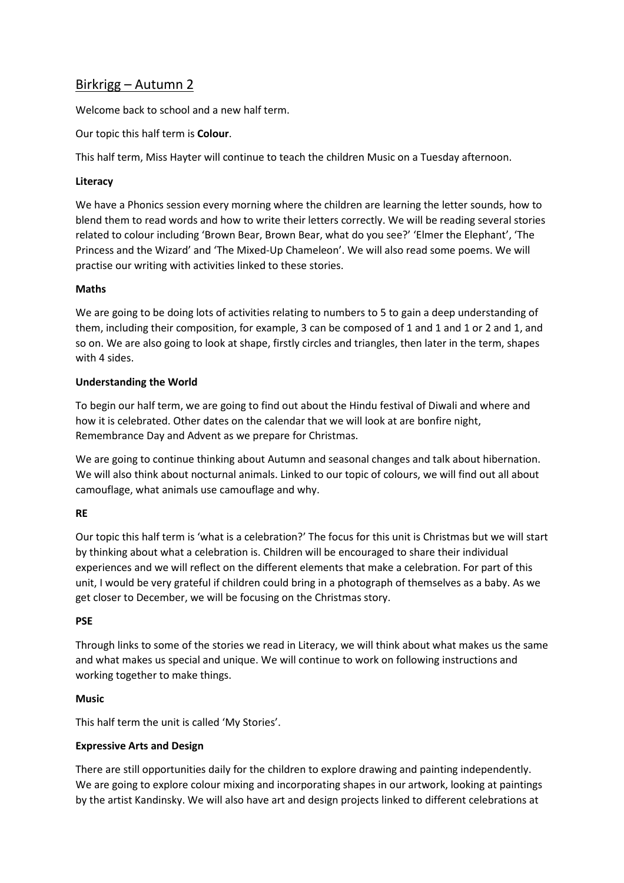# Birkrigg – Autumn 2

Welcome back to school and a new half term.

Our topic this half term is **Colour**.

This half term, Miss Hayter will continue to teach the children Music on a Tuesday afternoon.

# **Literacy**

We have a Phonics session every morning where the children are learning the letter sounds, how to blend them to read words and how to write their letters correctly. We will be reading several stories related to colour including 'Brown Bear, Brown Bear, what do you see?' 'Elmer the Elephant', 'The Princess and the Wizard' and 'The Mixed-Up Chameleon'. We will also read some poems. We will practise our writing with activities linked to these stories.

# **Maths**

We are going to be doing lots of activities relating to numbers to 5 to gain a deep understanding of them, including their composition, for example, 3 can be composed of 1 and 1 and 1 or 2 and 1, and so on. We are also going to look at shape, firstly circles and triangles, then later in the term, shapes with 4 sides.

# **Understanding the World**

To begin our half term, we are going to find out about the Hindu festival of Diwali and where and how it is celebrated. Other dates on the calendar that we will look at are bonfire night, Remembrance Day and Advent as we prepare for Christmas.

We are going to continue thinking about Autumn and seasonal changes and talk about hibernation. We will also think about nocturnal animals. Linked to our topic of colours, we will find out all about camouflage, what animals use camouflage and why.

# **RE**

Our topic this half term is 'what is a celebration?' The focus for this unit is Christmas but we will start by thinking about what a celebration is. Children will be encouraged to share their individual experiences and we will reflect on the different elements that make a celebration. For part of this unit, I would be very grateful if children could bring in a photograph of themselves as a baby. As we get closer to December, we will be focusing on the Christmas story.

#### **PSE**

Through links to some of the stories we read in Literacy, we will think about what makes us the same and what makes us special and unique. We will continue to work on following instructions and working together to make things.

#### **Music**

This half term the unit is called 'My Stories'.

#### **Expressive Arts and Design**

There are still opportunities daily for the children to explore drawing and painting independently. We are going to explore colour mixing and incorporating shapes in our artwork, looking at paintings by the artist Kandinsky. We will also have art and design projects linked to different celebrations at